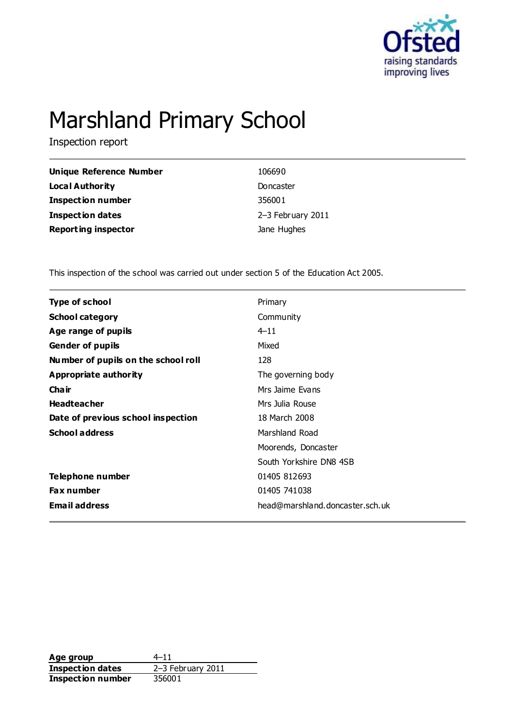

# Marshland Primary School

Inspection report

| Unique Reference Number    | 106690            |
|----------------------------|-------------------|
| Local Authority            | Doncaster         |
| <b>Inspection number</b>   | 356001            |
| <b>Inspection dates</b>    | 2-3 February 2011 |
| <b>Reporting inspector</b> | Jane Hughes       |

This inspection of the school was carried out under section 5 of the Education Act 2005.

| <b>Type of school</b>               | Primary                         |
|-------------------------------------|---------------------------------|
| <b>School category</b>              | Community                       |
| Age range of pupils                 | $4 - 11$                        |
| <b>Gender of pupils</b>             | Mixed                           |
| Number of pupils on the school roll | 128                             |
| <b>Appropriate authority</b>        | The governing body              |
| Cha ir                              | Mrs Jaime Evans                 |
| <b>Headteacher</b>                  | Mrs Julia Rouse                 |
| Date of previous school inspection  | 18 March 2008                   |
| <b>School address</b>               | Marshland Road                  |
|                                     | Moorends, Doncaster             |
|                                     | South Yorkshire DN8 4SB         |
| Telephone number                    | 01405 812693                    |
| <b>Fax number</b>                   | 01405 741038                    |
| <b>Email address</b>                | head@marshland.doncaster.sch.uk |
|                                     |                                 |

**Age group**  $4-11$ <br> **Inspection dates**  $2-3$  February 2011 **Inspection dates** 2–3 Feb<br>**Inspection number** 356001 **Inspection number**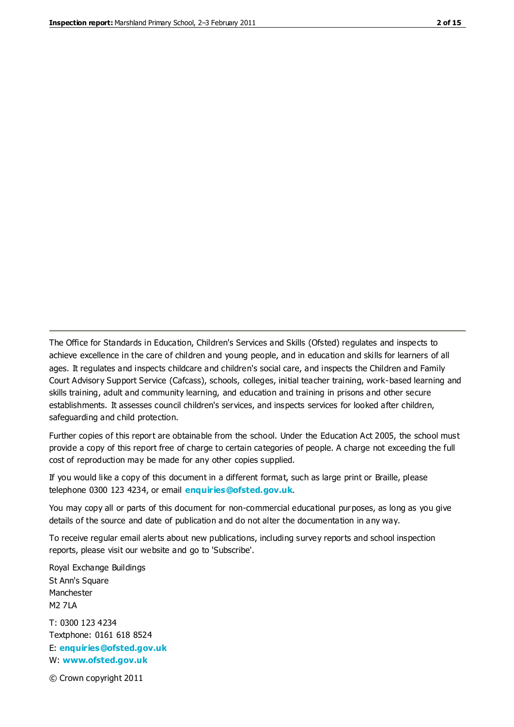The Office for Standards in Education, Children's Services and Skills (Ofsted) regulates and inspects to achieve excellence in the care of children and young people, and in education and skills for learners of all ages. It regulates and inspects childcare and children's social care, and inspects the Children and Family Court Advisory Support Service (Cafcass), schools, colleges, initial teacher training, work-based learning and skills training, adult and community learning, and education and training in prisons and other secure establishments. It assesses council children's services, and inspects services for looked after children, safeguarding and child protection.

Further copies of this report are obtainable from the school. Under the Education Act 2005, the school must provide a copy of this report free of charge to certain categories of people. A charge not exceeding the full cost of reproduction may be made for any other copies supplied.

If you would like a copy of this document in a different format, such as large print or Braille, please telephone 0300 123 4234, or email **[enquiries@ofsted.gov.uk](mailto:enquiries@ofsted.gov.uk)**.

You may copy all or parts of this document for non-commercial educational purposes, as long as you give details of the source and date of publication and do not alter the documentation in any way.

To receive regular email alerts about new publications, including survey reports and school inspection reports, please visit our website and go to 'Subscribe'.

Royal Exchange Buildings St Ann's Square Manchester M2 7LA T: 0300 123 4234 Textphone: 0161 618 8524 E: **[enquiries@ofsted.gov.uk](mailto:enquiries@ofsted.gov.uk)**

W: **[www.ofsted.gov.uk](http://www.ofsted.gov.uk/)**

© Crown copyright 2011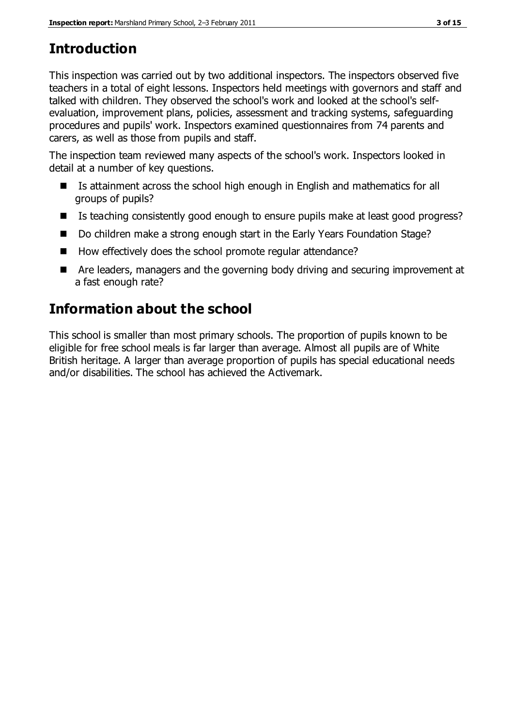# **Introduction**

This inspection was carried out by two additional inspectors. The inspectors observed five teachers in a total of eight lessons. Inspectors held meetings with governors and staff and talked with children. They observed the school's work and looked at the school's selfevaluation, improvement plans, policies, assessment and tracking systems, safeguarding procedures and pupils' work. Inspectors examined questionnaires from 74 parents and carers, as well as those from pupils and staff.

The inspection team reviewed many aspects of the school's work. Inspectors looked in detail at a number of key questions.

- Is attainment across the school high enough in English and mathematics for all groups of pupils?
- Is teaching consistently good enough to ensure pupils make at least good progress?
- Do children make a strong enough start in the Early Years Foundation Stage?
- How effectively does the school promote regular attendance?
- Are leaders, managers and the governing body driving and securing improvement at a fast enough rate?

# **Information about the school**

This school is smaller than most primary schools. The proportion of pupils known to be eligible for free school meals is far larger than average. Almost all pupils are of White British heritage. A larger than average proportion of pupils has special educational needs and/or disabilities. The school has achieved the Activemark.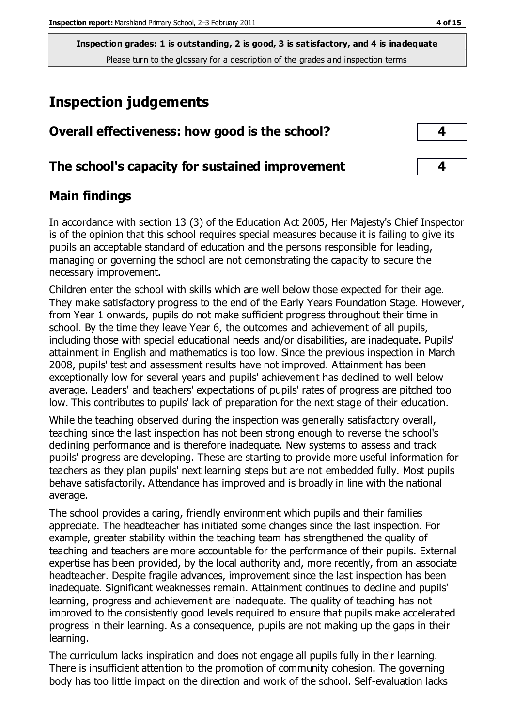# **Inspection judgements**

| Overall effectiveness: how good is the school?  |  |
|-------------------------------------------------|--|
| The school's capacity for sustained improvement |  |

## **Main findings**

In accordance with section 13 (3) of the Education Act 2005, Her Majesty's Chief Inspector is of the opinion that this school requires special measures because it is failing to give its pupils an acceptable standard of education and the persons responsible for leading, managing or governing the school are not demonstrating the capacity to secure the necessary improvement.

Children enter the school with skills which are well below those expected for their age. They make satisfactory progress to the end of the Early Years Foundation Stage. However, from Year 1 onwards, pupils do not make sufficient progress throughout their time in school. By the time they leave Year 6, the outcomes and achievement of all pupils, including those with special educational needs and/or disabilities, are inadequate. Pupils' attainment in English and mathematics is too low. Since the previous inspection in March 2008, pupils' test and assessment results have not improved. Attainment has been exceptionally low for several years and pupils' achievement has declined to well below average. Leaders' and teachers' expectations of pupils' rates of progress are pitched too low. This contributes to pupils' lack of preparation for the next stage of their education.

While the teaching observed during the inspection was generally satisfactory overall, teaching since the last inspection has not been strong enough to reverse the school's declining performance and is therefore inadequate. New systems to assess and track pupils' progress are developing. These are starting to provide more useful information for teachers as they plan pupils' next learning steps but are not embedded fully. Most pupils behave satisfactorily. Attendance has improved and is broadly in line with the national average.

The school provides a caring, friendly environment which pupils and their families appreciate. The headteacher has initiated some changes since the last inspection. For example, greater stability within the teaching team has strengthened the quality of teaching and teachers are more accountable for the performance of their pupils. External expertise has been provided, by the local authority and, more recently, from an associate headteacher. Despite fragile advances, improvement since the last inspection has been inadequate. Significant weaknesses remain. Attainment continues to decline and pupils' learning, progress and achievement are inadequate. The quality of teaching has not improved to the consistently good levels required to ensure that pupils make accelerated progress in their learning. As a consequence, pupils are not making up the gaps in their learning.

The curriculum lacks inspiration and does not engage all pupils fully in their learning. There is insufficient attention to the promotion of community cohesion. The governing body has too little impact on the direction and work of the school. Self-evaluation lacks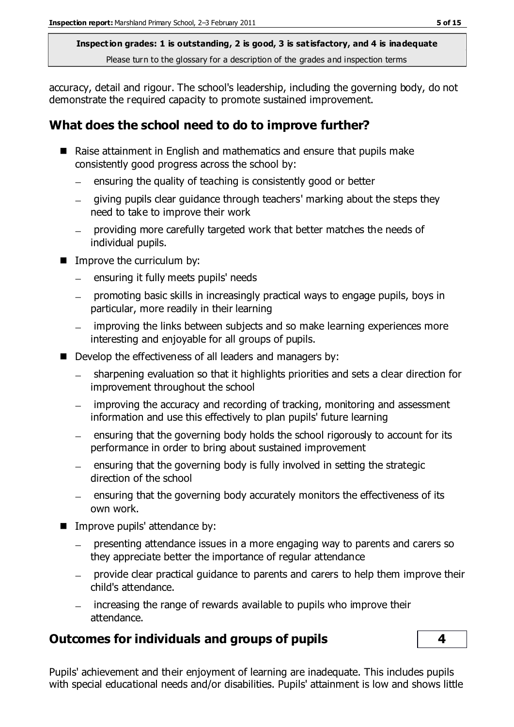accuracy, detail and rigour. The school's leadership, including the governing body, do not demonstrate the required capacity to promote sustained improvement.

## **What does the school need to do to improve further?**

- Raise attainment in English and mathematics and ensure that pupils make consistently good progress across the school by:
	- ensuring the quality of teaching is consistently good or better  $\overline{\phantom{0}}$
	- giving pupils clear guidance through teachers' marking about the steps they need to take to improve their work
	- providing more carefully targeted work that better matches the needs of individual pupils.
- **IMPROPE the curriculum by:** 
	- ensuring it fully meets pupils' needs  $\equiv$
	- $\overline{\phantom{0}}$ promoting basic skills in increasingly practical ways to engage pupils, boys in particular, more readily in their learning
	- improving the links between subjects and so make learning experiences more  $\frac{1}{2}$ interesting and enjoyable for all groups of pupils.
- Develop the effectiveness of all leaders and managers by:
	- sharpening evaluation so that it highlights priorities and sets a clear direction for  $\frac{1}{2}$ improvement throughout the school
	- improving the accuracy and recording of tracking, monitoring and assessment information and use this effectively to plan pupils' future learning
	- ensuring that the governing body holds the school rigorously to account for its performance in order to bring about sustained improvement
	- $\mu$  ensuring that the governing body is fully involved in setting the strategic direction of the school
	- $\mu$  ensuring that the governing body accurately monitors the effectiveness of its own work.
- **IMPROPEDUALE:** Improve pupils' attendance by:
	- presenting attendance issues in a more engaging way to parents and carers so  $\equiv$ they appreciate better the importance of regular attendance
	- provide clear practical quidance to parents and carers to help them improve their child's attendance.
	- $\mu$  increasing the range of rewards available to pupils who improve their attendance.

## **Outcomes for individuals and groups of pupils 4**

Pupils' achievement and their enjoyment of learning are inadequate. This includes pupils with special educational needs and/or disabilities. Pupils' attainment is low and shows little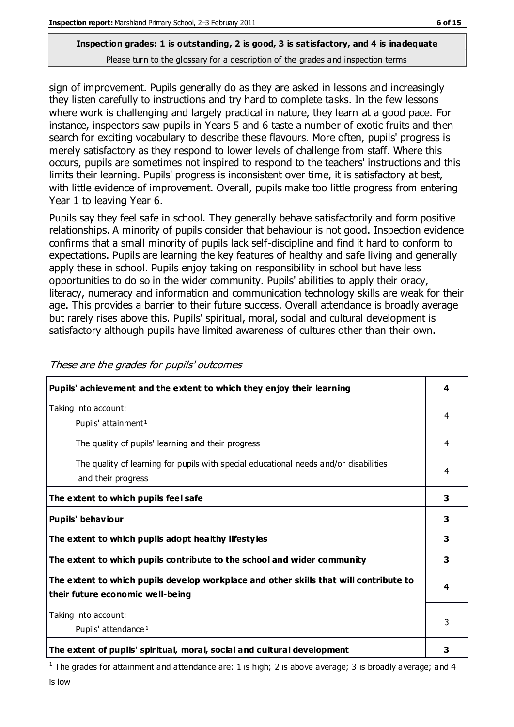sign of improvement. Pupils generally do as they are asked in lessons and increasingly they listen carefully to instructions and try hard to complete tasks. In the few lessons where work is challenging and largely practical in nature, they learn at a good pace. For instance, inspectors saw pupils in Years 5 and 6 taste a number of exotic fruits and then search for exciting vocabulary to describe these flavours. More often, pupils' progress is merely satisfactory as they respond to lower levels of challenge from staff. Where this occurs, pupils are sometimes not inspired to respond to the teachers' instructions and this limits their learning. Pupils' progress is inconsistent over time, it is satisfactory at best, with little evidence of improvement. Overall, pupils make too little progress from entering Year 1 to leaving Year 6.

Pupils say they feel safe in school. They generally behave satisfactorily and form positive relationships. A minority of pupils consider that behaviour is not good. Inspection evidence confirms that a small minority of pupils lack self-discipline and find it hard to conform to expectations. Pupils are learning the key features of healthy and safe living and generally apply these in school. Pupils enjoy taking on responsibility in school but have less opportunities to do so in the wider community. Pupils' abilities to apply their oracy, literacy, numeracy and information and communication technology skills are weak for their age. This provides a barrier to their future success. Overall attendance is broadly average but rarely rises above this. Pupils' spiritual, moral, social and cultural development is satisfactory although pupils have limited awareness of cultures other than their own.

| Pupils' achievement and the extent to which they enjoy their learning                                                     |   |
|---------------------------------------------------------------------------------------------------------------------------|---|
| Taking into account:<br>Pupils' attainment <sup>1</sup>                                                                   |   |
| The quality of pupils' learning and their progress                                                                        | 4 |
| The quality of learning for pupils with special educational needs and/or disabilities<br>and their progress               | 4 |
| The extent to which pupils feel safe                                                                                      |   |
| Pupils' behaviour                                                                                                         | 3 |
| The extent to which pupils adopt healthy lifestyles                                                                       | 3 |
| The extent to which pupils contribute to the school and wider community                                                   |   |
| The extent to which pupils develop workplace and other skills that will contribute to<br>their future economic well-being |   |
| Taking into account:<br>Pupils' attendance <sup>1</sup>                                                                   |   |
| The extent of pupils' spiritual, moral, social and cultural development                                                   | 3 |

These are the grades for pupils' outcomes

<sup>1</sup> The grades for attainment and attendance are: 1 is high; 2 is above average; 3 is broadly average; and 4 is low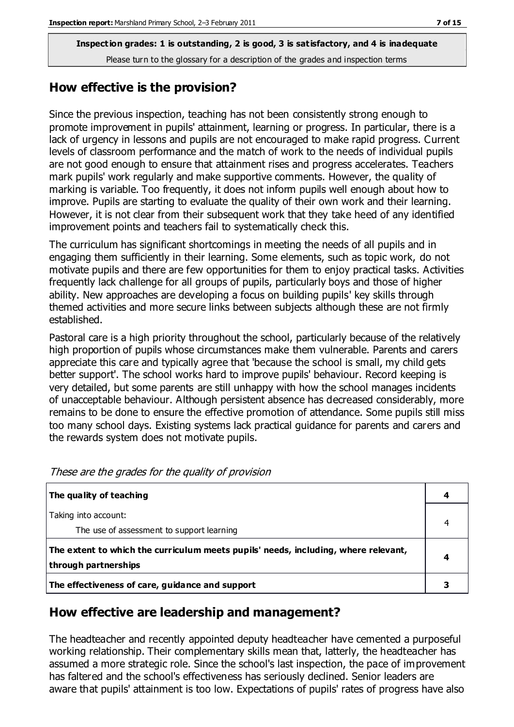## **How effective is the provision?**

Since the previous inspection, teaching has not been consistently strong enough to promote improvement in pupils' attainment, learning or progress. In particular, there is a lack of urgency in lessons and pupils are not encouraged to make rapid progress. Current levels of classroom performance and the match of work to the needs of individual pupils are not good enough to ensure that attainment rises and progress accelerates. Teachers mark pupils' work regularly and make supportive comments. However, the quality of marking is variable. Too frequently, it does not inform pupils well enough about how to improve. Pupils are starting to evaluate the quality of their own work and their learning. However, it is not clear from their subsequent work that they take heed of any identified improvement points and teachers fail to systematically check this.

The curriculum has significant shortcomings in meeting the needs of all pupils and in engaging them sufficiently in their learning. Some elements, such as topic work, do not motivate pupils and there are few opportunities for them to enjoy practical tasks. Activities frequently lack challenge for all groups of pupils, particularly boys and those of higher ability. New approaches are developing a focus on building pupils' key skills through themed activities and more secure links between subjects although these are not firmly established.

Pastoral care is a high priority throughout the school, particularly because of the relatively high proportion of pupils whose circumstances make them vulnerable. Parents and carers appreciate this care and typically agree that 'because the school is small, my child gets better support'. The school works hard to improve pupils' behaviour. Record keeping is very detailed, but some parents are still unhappy with how the school manages incidents of unacceptable behaviour. Although persistent absence has decreased considerably, more remains to be done to ensure the effective promotion of attendance. Some pupils still miss too many school days. Existing systems lack practical guidance for parents and carers and the rewards system does not motivate pupils.

| The quality of teaching                                                                                    | 4 |
|------------------------------------------------------------------------------------------------------------|---|
| Taking into account:<br>The use of assessment to support learning                                          |   |
| The extent to which the curriculum meets pupils' needs, including, where relevant,<br>through partnerships |   |
| The effectiveness of care, guidance and support                                                            |   |

These are the grades for the quality of provision

## **How effective are leadership and management?**

The headteacher and recently appointed deputy headteacher have cemented a purposeful working relationship. Their complementary skills mean that, latterly, the headteacher has assumed a more strategic role. Since the school's last inspection, the pace of improvement has faltered and the school's effectiveness has seriously declined. Senior leaders are aware that pupils' attainment is too low. Expectations of pupils' rates of progress have also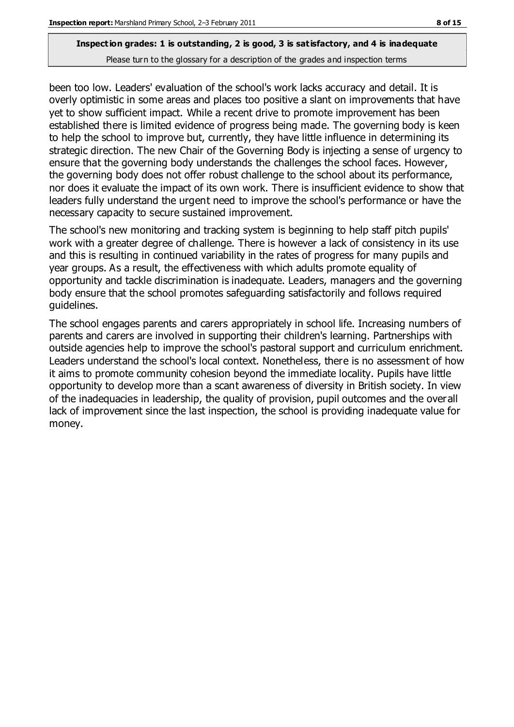been too low. Leaders' evaluation of the school's work lacks accuracy and detail. It is overly optimistic in some areas and places too positive a slant on improvements that have yet to show sufficient impact. While a recent drive to promote improvement has been established there is limited evidence of progress being made. The governing body is keen to help the school to improve but, currently, they have little influence in determining its strategic direction. The new Chair of the Governing Body is injecting a sense of urgency to ensure that the governing body understands the challenges the school faces. However, the governing body does not offer robust challenge to the school about its performance, nor does it evaluate the impact of its own work. There is insufficient evidence to show that leaders fully understand the urgent need to improve the school's performance or have the necessary capacity to secure sustained improvement.

The school's new monitoring and tracking system is beginning to help staff pitch pupils' work with a greater degree of challenge. There is however a lack of consistency in its use and this is resulting in continued variability in the rates of progress for many pupils and year groups. As a result, the effectiveness with which adults promote equality of opportunity and tackle discrimination is inadequate. Leaders, managers and the governing body ensure that the school promotes safeguarding satisfactorily and follows required guidelines.

The school engages parents and carers appropriately in school life. Increasing numbers of parents and carers are involved in supporting their children's learning. Partnerships with outside agencies help to improve the school's pastoral support and curriculum enrichment. Leaders understand the school's local context. Nonetheless, there is no assessment of how it aims to promote community cohesion beyond the immediate locality. Pupils have little opportunity to develop more than a scant awareness of diversity in British society. In view of the inadequacies in leadership, the quality of provision, pupil outcomes and the overall lack of improvement since the last inspection, the school is providing inadequate value for money.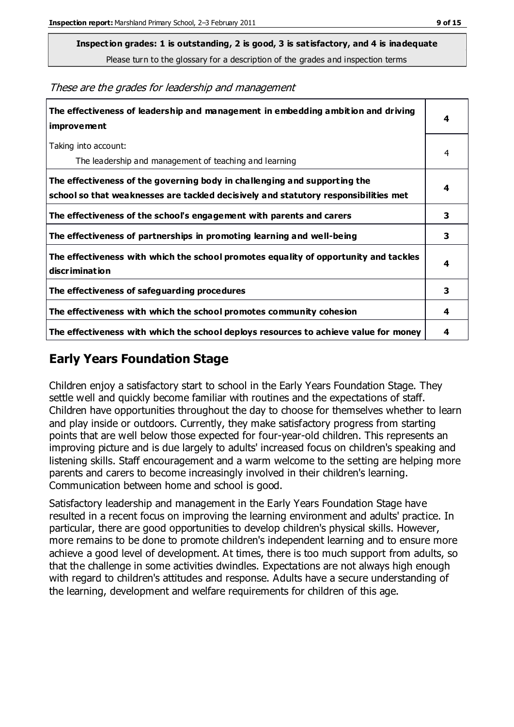**Inspection grades: 1 is outstanding, 2 is good, 3 is satisfactory, and 4 is inadequate**

Please turn to the glossary for a description of the grades and inspection terms

These are the grades for leadership and management

| The effectiveness of leadership and management in embedding ambition and driving<br>improvement                                                                  |   |
|------------------------------------------------------------------------------------------------------------------------------------------------------------------|---|
| Taking into account:<br>The leadership and management of teaching and learning                                                                                   | 4 |
| The effectiveness of the governing body in challenging and supporting the<br>school so that weaknesses are tackled decisively and statutory responsibilities met | 4 |
| The effectiveness of the school's engagement with parents and carers                                                                                             | 3 |
| The effectiveness of partnerships in promoting learning and well-being                                                                                           | 3 |
| The effectiveness with which the school promotes equality of opportunity and tackles<br>discrimination                                                           | 4 |
| The effectiveness of safeguarding procedures                                                                                                                     | 3 |
| The effectiveness with which the school promotes community cohesion                                                                                              | 4 |
| The effectiveness with which the school deploys resources to achieve value for money                                                                             | 4 |

## **Early Years Foundation Stage**

Children enjoy a satisfactory start to school in the Early Years Foundation Stage. They settle well and quickly become familiar with routines and the expectations of staff. Children have opportunities throughout the day to choose for themselves whether to learn and play inside or outdoors. Currently, they make satisfactory progress from starting points that are well below those expected for four-year-old children. This represents an improving picture and is due largely to adults' increased focus on children's speaking and listening skills. Staff encouragement and a warm welcome to the setting are helping more parents and carers to become increasingly involved in their children's learning. Communication between home and school is good.

Satisfactory leadership and management in the Early Years Foundation Stage have resulted in a recent focus on improving the learning environment and adults' practice. In particular, there are good opportunities to develop children's physical skills. However, more remains to be done to promote children's independent learning and to ensure more achieve a good level of development. At times, there is too much support from adults, so that the challenge in some activities dwindles. Expectations are not always high enough with regard to children's attitudes and response. Adults have a secure understanding of the learning, development and welfare requirements for children of this age.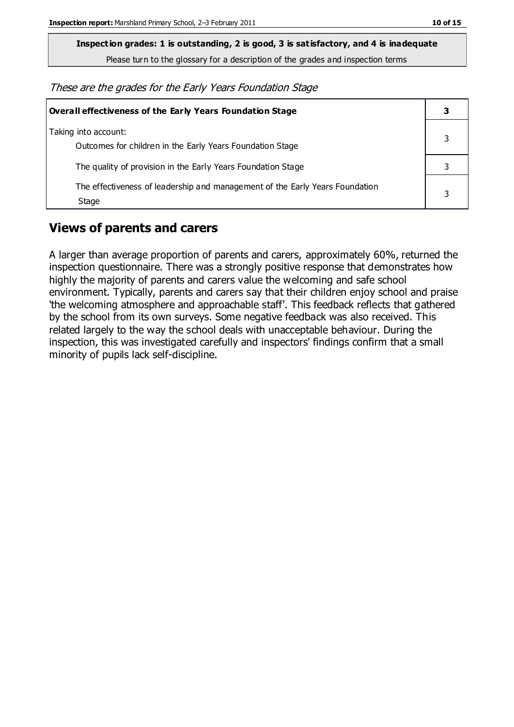**Inspection grades: 1 is outstanding, 2 is good, 3 is satisfactory, and 4 is inadequate**

Please turn to the glossary for a description of the grades and inspection terms

These are the grades for the Early Years Foundation Stage

| <b>Overall effectiveness of the Early Years Foundation Stage</b>                      |  |
|---------------------------------------------------------------------------------------|--|
| Taking into account:<br>Outcomes for children in the Early Years Foundation Stage     |  |
| The quality of provision in the Early Years Foundation Stage                          |  |
| The effectiveness of leadership and management of the Early Years Foundation<br>Stage |  |

## **Views of parents and carers**

A larger than average proportion of parents and carers, approximately 60%, returned the inspection questionnaire. There was a strongly positive response that demonstrates how highly the majority of parents and carers value the welcoming and safe school environment. Typically, parents and carers say that their children enjoy school and praise 'the welcoming atmosphere and approachable staff'. This feedback reflects that gathered by the school from its own surveys. Some negative feedback was also received. This related largely to the way the school deals with unacceptable behaviour. During the inspection, this was investigated carefully and inspectors' findings confirm that a small minority of pupils lack self-discipline.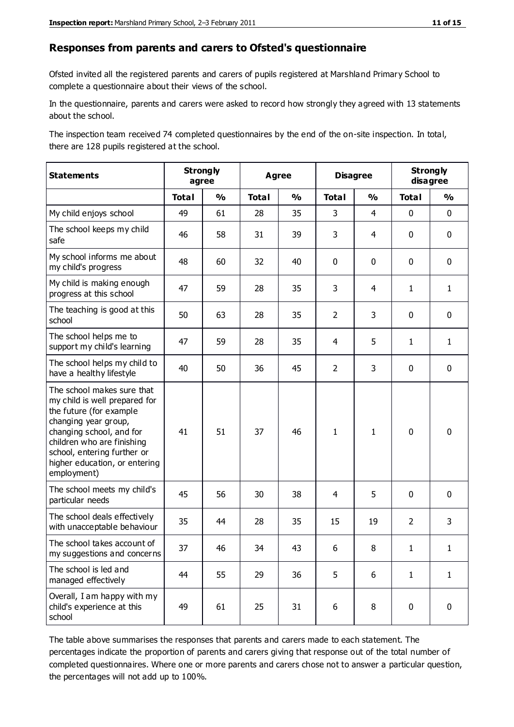#### **Responses from parents and carers to Ofsted's questionnaire**

Ofsted invited all the registered parents and carers of pupils registered at Marshland Primary School to complete a questionnaire about their views of the school.

In the questionnaire, parents and carers were asked to record how strongly they agreed with 13 statements about the school.

The inspection team received 74 completed questionnaires by the end of the on-site inspection. In total, there are 128 pupils registered at the school.

| <b>Statements</b>                                                                                                                                                                                                                                       | <b>Strongly</b><br>agree |               | <b>Agree</b> |               | <b>Disagree</b> |                | <b>Strongly</b><br>disagree |               |
|---------------------------------------------------------------------------------------------------------------------------------------------------------------------------------------------------------------------------------------------------------|--------------------------|---------------|--------------|---------------|-----------------|----------------|-----------------------------|---------------|
|                                                                                                                                                                                                                                                         | <b>Total</b>             | $\frac{1}{2}$ | <b>Total</b> | $\frac{0}{0}$ | <b>Total</b>    | $\frac{0}{0}$  | <b>Total</b>                | $\frac{0}{0}$ |
| My child enjoys school                                                                                                                                                                                                                                  | 49                       | 61            | 28           | 35            | 3               | $\overline{4}$ | $\mathbf 0$                 | $\mathbf 0$   |
| The school keeps my child<br>safe                                                                                                                                                                                                                       | 46                       | 58            | 31           | 39            | 3               | 4              | $\mathbf 0$                 | $\mathbf 0$   |
| My school informs me about<br>my child's progress                                                                                                                                                                                                       | 48                       | 60            | 32           | 40            | 0               | $\mathbf 0$    | $\mathbf 0$                 | $\mathbf 0$   |
| My child is making enough<br>progress at this school                                                                                                                                                                                                    | 47                       | 59            | 28           | 35            | 3               | 4              | $\mathbf{1}$                | $\mathbf{1}$  |
| The teaching is good at this<br>school                                                                                                                                                                                                                  | 50                       | 63            | 28           | 35            | $\overline{2}$  | 3              | $\mathbf 0$                 | $\mathbf 0$   |
| The school helps me to<br>support my child's learning                                                                                                                                                                                                   | 47                       | 59            | 28           | 35            | 4               | 5              | $\mathbf{1}$                | $\mathbf{1}$  |
| The school helps my child to<br>have a healthy lifestyle                                                                                                                                                                                                | 40                       | 50            | 36           | 45            | $\overline{2}$  | 3              | $\mathbf 0$                 | $\mathbf 0$   |
| The school makes sure that<br>my child is well prepared for<br>the future (for example<br>changing year group,<br>changing school, and for<br>children who are finishing<br>school, entering further or<br>higher education, or entering<br>employment) | 41                       | 51            | 37           | 46            | $\mathbf{1}$    | $\mathbf{1}$   | $\mathbf 0$                 | $\mathbf 0$   |
| The school meets my child's<br>particular needs                                                                                                                                                                                                         | 45                       | 56            | 30           | 38            | 4               | 5              | $\mathbf 0$                 | $\mathbf 0$   |
| The school deals effectively<br>with unacceptable behaviour                                                                                                                                                                                             | 35                       | 44            | 28           | 35            | 15              | 19             | $\overline{2}$              | 3             |
| The school takes account of<br>my suggestions and concerns                                                                                                                                                                                              | 37                       | 46            | 34           | 43            | 6.              | 8              | 1                           | 1             |
| The school is led and<br>managed effectively                                                                                                                                                                                                            | 44                       | 55            | 29           | 36            | 5               | 6              | $\mathbf{1}$                | $\mathbf{1}$  |
| Overall, I am happy with my<br>child's experience at this<br>school                                                                                                                                                                                     | 49                       | 61            | 25           | 31            | 6               | 8              | $\mathbf 0$                 | $\pmb{0}$     |

The table above summarises the responses that parents and carers made to each statement. The percentages indicate the proportion of parents and carers giving that response out of the total number of completed questionnaires. Where one or more parents and carers chose not to answer a particular question, the percentages will not add up to 100%.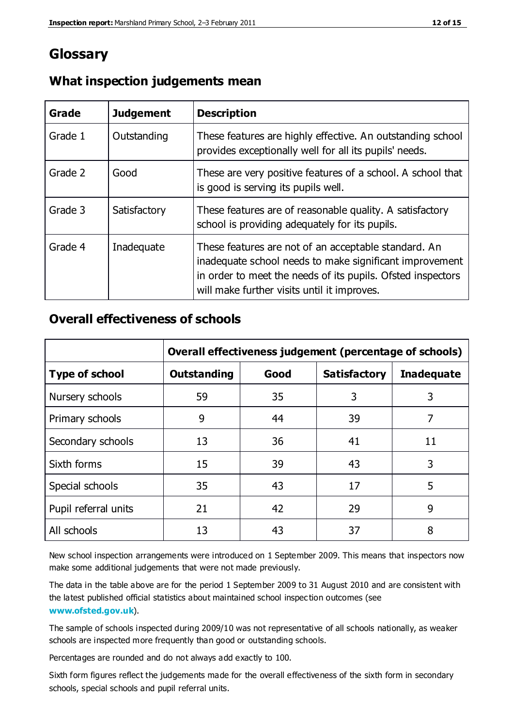## **Glossary**

| Grade   | <b>Judgement</b> | <b>Description</b>                                                                                                                                                                                                            |
|---------|------------------|-------------------------------------------------------------------------------------------------------------------------------------------------------------------------------------------------------------------------------|
| Grade 1 | Outstanding      | These features are highly effective. An outstanding school<br>provides exceptionally well for all its pupils' needs.                                                                                                          |
| Grade 2 | Good             | These are very positive features of a school. A school that<br>is good is serving its pupils well.                                                                                                                            |
| Grade 3 | Satisfactory     | These features are of reasonable quality. A satisfactory<br>school is providing adequately for its pupils.                                                                                                                    |
| Grade 4 | Inadequate       | These features are not of an acceptable standard. An<br>inadequate school needs to make significant improvement<br>in order to meet the needs of its pupils. Ofsted inspectors<br>will make further visits until it improves. |

#### **What inspection judgements mean**

## **Overall effectiveness of schools**

|                       | Overall effectiveness judgement (percentage of schools) |      |                     |                   |
|-----------------------|---------------------------------------------------------|------|---------------------|-------------------|
| <b>Type of school</b> | <b>Outstanding</b>                                      | Good | <b>Satisfactory</b> | <b>Inadequate</b> |
| Nursery schools       | 59                                                      | 35   | 3                   | 3                 |
| Primary schools       | 9                                                       | 44   | 39                  | 7                 |
| Secondary schools     | 13                                                      | 36   | 41                  | 11                |
| Sixth forms           | 15                                                      | 39   | 43                  | 3                 |
| Special schools       | 35                                                      | 43   | 17                  | 5                 |
| Pupil referral units  | 21                                                      | 42   | 29                  | 9                 |
| All schools           | 13                                                      | 43   | 37                  | 8                 |

New school inspection arrangements were introduced on 1 September 2009. This means that inspectors now make some additional judgements that were not made previously.

The data in the table above are for the period 1 September 2009 to 31 August 2010 and are consistent with the latest published official statistics about maintained school inspec tion outcomes (see **[www.ofsted.gov.uk](http://www.ofsted.gov.uk/)**).

The sample of schools inspected during 2009/10 was not representative of all schools nationally, as weaker schools are inspected more frequently than good or outstanding schools.

Percentages are rounded and do not always add exactly to 100.

Sixth form figures reflect the judgements made for the overall effectiveness of the sixth form in secondary schools, special schools and pupil referral units.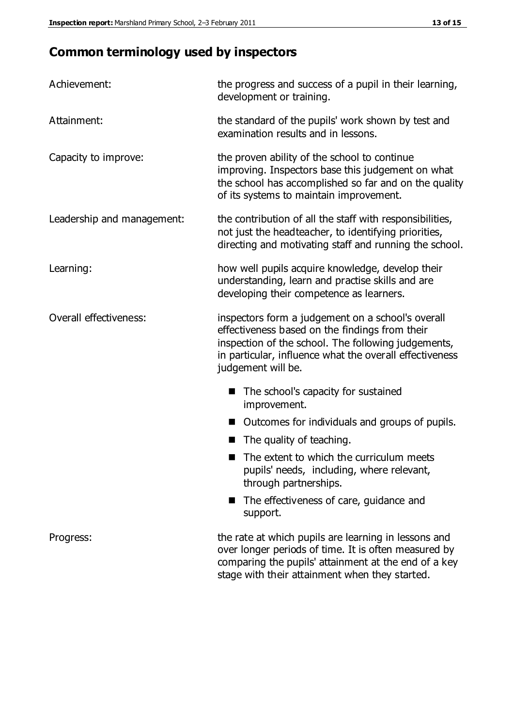# **Common terminology used by inspectors**

| Achievement:                  | the progress and success of a pupil in their learning,<br>development or training.                                                                                                                                                          |  |  |
|-------------------------------|---------------------------------------------------------------------------------------------------------------------------------------------------------------------------------------------------------------------------------------------|--|--|
| Attainment:                   | the standard of the pupils' work shown by test and<br>examination results and in lessons.                                                                                                                                                   |  |  |
| Capacity to improve:          | the proven ability of the school to continue<br>improving. Inspectors base this judgement on what<br>the school has accomplished so far and on the quality<br>of its systems to maintain improvement.                                       |  |  |
| Leadership and management:    | the contribution of all the staff with responsibilities,<br>not just the headteacher, to identifying priorities,<br>directing and motivating staff and running the school.                                                                  |  |  |
| Learning:                     | how well pupils acquire knowledge, develop their<br>understanding, learn and practise skills and are<br>developing their competence as learners.                                                                                            |  |  |
| <b>Overall effectiveness:</b> | inspectors form a judgement on a school's overall<br>effectiveness based on the findings from their<br>inspection of the school. The following judgements,<br>in particular, influence what the overall effectiveness<br>judgement will be. |  |  |
|                               | The school's capacity for sustained<br>improvement.                                                                                                                                                                                         |  |  |
|                               | Outcomes for individuals and groups of pupils.                                                                                                                                                                                              |  |  |
|                               | The quality of teaching.                                                                                                                                                                                                                    |  |  |
|                               | The extent to which the curriculum meets<br>pupils' needs, including, where relevant,<br>through partnerships.                                                                                                                              |  |  |
|                               | The effectiveness of care, guidance and<br>support.                                                                                                                                                                                         |  |  |
| Progress:                     | the rate at which pupils are learning in lessons and<br>over longer periods of time. It is often measured by<br>comparing the pupils' attainment at the end of a key                                                                        |  |  |

stage with their attainment when they started.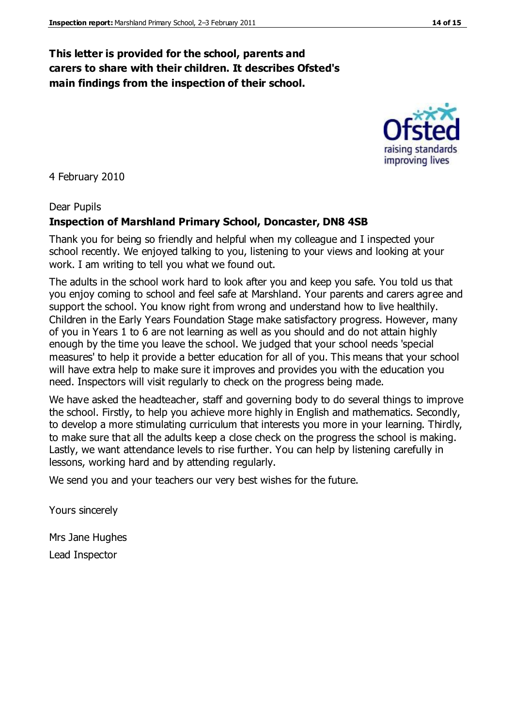## **This letter is provided for the school, parents and carers to share with their children. It describes Ofsted's main findings from the inspection of their school.**

4 February 2010

#### Dear Pupils

#### **Inspection of Marshland Primary School, Doncaster, DN8 4SB**

Thank you for being so friendly and helpful when my colleague and I inspected your school recently. We enjoyed talking to you, listening to your views and looking at your work. I am writing to tell you what we found out.

The adults in the school work hard to look after you and keep you safe. You told us that you enjoy coming to school and feel safe at Marshland. Your parents and carers agree and support the school. You know right from wrong and understand how to live healthily. Children in the Early Years Foundation Stage make satisfactory progress. However, many of you in Years 1 to 6 are not learning as well as you should and do not attain highly enough by the time you leave the school. We judged that your school needs 'special measures' to help it provide a better education for all of you. This means that your school will have extra help to make sure it improves and provides you with the education you need. Inspectors will visit regularly to check on the progress being made.

We have asked the headteacher, staff and governing body to do several things to improve the school. Firstly, to help you achieve more highly in English and mathematics. Secondly, to develop a more stimulating curriculum that interests you more in your learning. Thirdly, to make sure that all the adults keep a close check on the progress the school is making. Lastly, we want attendance levels to rise further. You can help by listening carefully in lessons, working hard and by attending regularly.

We send you and your teachers our very best wishes for the future.

Yours sincerely

Mrs Jane Hughes Lead Inspector